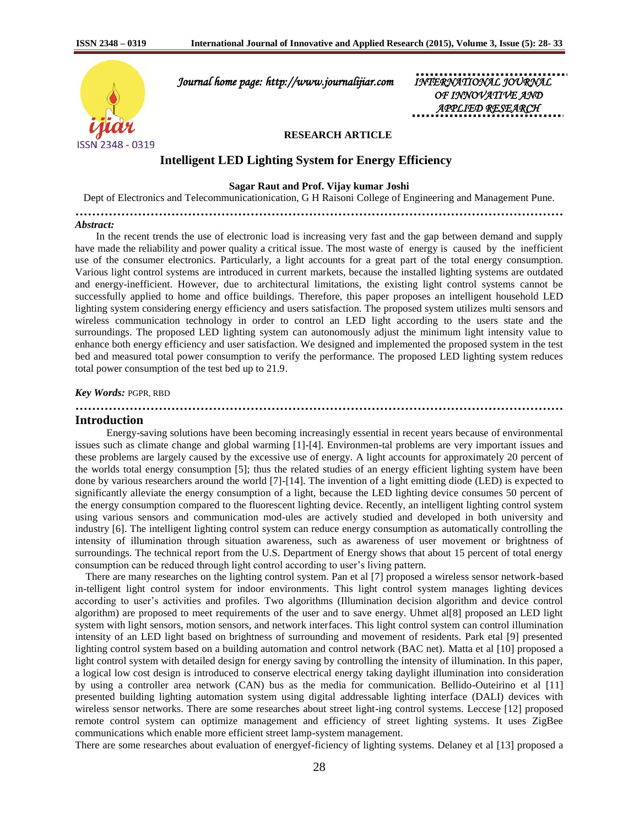

 *Journal home page: http://www.journalijiar.com INTERNATIONAL JOURNAL* 

*OF INNOVATIVE APPLIED RESEARCH* 

## **RESEARCH ARTICLE**

# **Intelligent LED Lighting System for Energy Efficiency**

### **Sagar Raut and Prof. Vijay kumar Joshi**

Dept of Electronics and Telecommunicationication, G H Raisoni College of Engineering and Management Pune.

**………………………………………………………………………………………………………**

#### *Abstract:*

 In the recent trends the use of electronic load is increasing very fast and the gap between demand and supply have made the reliability and power quality a critical issue. The most waste of energy is caused by the inefficient use of the consumer electronics. Particularly, a light accounts for a great part of the total energy consumption. Various light control systems are introduced in current markets, because the installed lighting systems are outdated and energy-inefficient. However, due to architectural limitations, the existing light control systems cannot be successfully applied to home and office buildings. Therefore, this paper proposes an intelligent household LED lighting system considering energy efficiency and users satisfaction. The proposed system utilizes multi sensors and wireless communication technology in order to control an LED light according to the users state and the surroundings. The proposed LED lighting system can autonomously adjust the minimum light intensity value to enhance both energy efficiency and user satisfaction. We designed and implemented the proposed system in the test bed and measured total power consumption to verify the performance. The proposed LED lighting system reduces total power consumption of the test bed up to 21.9.

#### *Key Words:* PGPR, RBD

# **Introduction**

 Energy-saving solutions have been becoming increasingly essential in recent years because of environmental issues such as climate change and global warming [1]-[4]. Environmen-tal problems are very important issues and these problems are largely caused by the excessive use of energy. A light accounts for approximately 20 percent of the worlds total energy consumption [5]; thus the related studies of an energy efficient lighting system have been done by various researchers around the world [7]-[14]. The invention of a light emitting diode (LED) is expected to significantly alleviate the energy consumption of a light, because the LED lighting device consumes 50 percent of the energy consumption compared to the fluorescent lighting device. Recently, an intelligent lighting control system using various sensors and communication mod-ules are actively studied and developed in both university and industry [6]. The intelligent lighting control system can reduce energy consumption as automatically controlling the intensity of illumination through situation awareness, such as awareness of user movement or brightness of surroundings. The technical report from the U.S. Department of Energy shows that about 15 percent of total energy consumption can be reduced through light control according to user's living pattern.

**………………………………………………………………………………………………………**

There are many researches on the lighting control system. Pan et al [7] proposed a wireless sensor network-based in-telligent light control system for indoor environments. This light control system manages lighting devices according to user's activities and profiles. Two algorithms (Illumination decision algorithm and device control algorithm) are proposed to meet requirements of the user and to save energy. Uhmet al[8] proposed an LED light system with light sensors, motion sensors, and network interfaces. This light control system can control illumination intensity of an LED light based on brightness of surrounding and movement of residents. Park etal [9] presented lighting control system based on a building automation and control network (BAC net). Matta et al [10] proposed a light control system with detailed design for energy saving by controlling the intensity of illumination. In this paper, a logical low cost design is introduced to conserve electrical energy taking daylight illumination into consideration by using a controller area network (CAN) bus as the media for communication. Bellido-Outeirino et al [11] presented building lighting automation system using digital addressable lighting interface (DALI) devices with wireless sensor networks. There are some researches about street light-ing control systems. Leccese [12] proposed remote control system can optimize management and efficiency of street lighting systems. It uses ZigBee communications which enable more efficient street lamp-system management.

There are some researches about evaluation of energyef-ficiency of lighting systems. Delaney et al [13] proposed a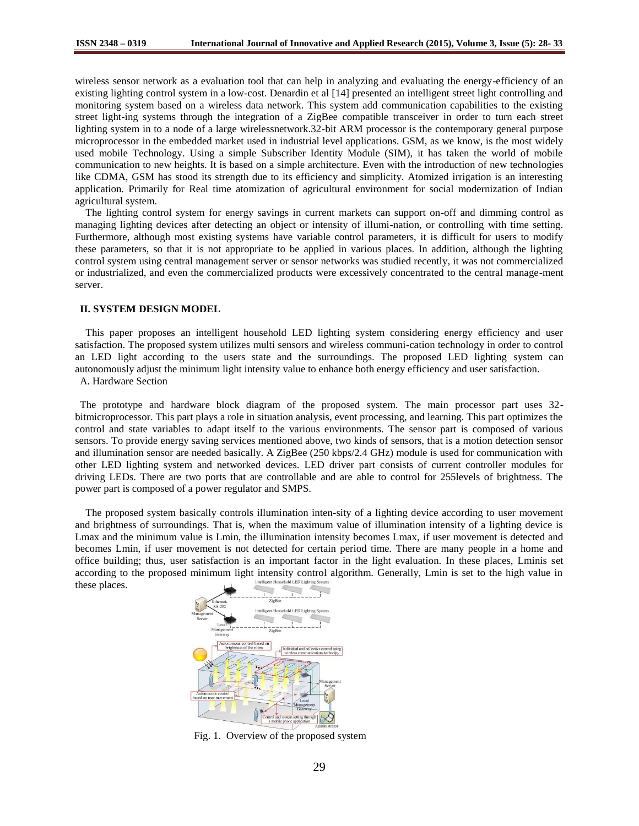wireless sensor network as a evaluation tool that can help in analyzing and evaluating the energy-efficiency of an existing lighting control system in a low-cost. Denardin et al [14] presented an intelligent street light controlling and monitoring system based on a wireless data network. This system add communication capabilities to the existing street light-ing systems through the integration of a ZigBee compatible transceiver in order to turn each street lighting system in to a node of a large wirelessnetwork.32-bit ARM processor is the contemporary general purpose microprocessor in the embedded market used in industrial level applications. GSM, as we know, is the most widely used mobile Technology. Using a simple Subscriber Identity Module (SIM), it has taken the world of mobile communication to new heights. It is based on a simple architecture. Even with the introduction of new technologies like CDMA, GSM has stood its strength due to its efficiency and simplicity. Atomized irrigation is an interesting application. Primarily for Real time atomization of agricultural environment for social modernization of Indian agricultural system.

The lighting control system for energy savings in current markets can support on-off and dimming control as managing lighting devices after detecting an object or intensity of illumi-nation, or controlling with time setting. Furthermore, although most existing systems have variable control parameters, it is difficult for users to modify these parameters, so that it is not appropriate to be applied in various places. In addition, although the lighting control system using central management server or sensor networks was studied recently, it was not commercialized or industrialized, and even the commercialized products were excessively concentrated to the central manage-ment server.

# **II. SYSTEM DESIGN MODEL**

This paper proposes an intelligent household LED lighting system considering energy efficiency and user satisfaction. The proposed system utilizes multi sensors and wireless communi-cation technology in order to control an LED light according to the users state and the surroundings. The proposed LED lighting system can autonomously adjust the minimum light intensity value to enhance both energy efficiency and user satisfaction. A. Hardware Section

The prototype and hardware block diagram of the proposed system. The main processor part uses 32 bitmicroprocessor. This part plays a role in situation analysis, event processing, and learning. This part optimizes the control and state variables to adapt itself to the various environments. The sensor part is composed of various sensors. To provide energy saving services mentioned above, two kinds of sensors, that is a motion detection sensor and illumination sensor are needed basically. A ZigBee (250 kbps/2.4 GHz) module is used for communication with other LED lighting system and networked devices. LED driver part consists of current controller modules for driving LEDs. There are two ports that are controllable and are able to control for 255levels of brightness. The power part is composed of a power regulator and SMPS.

The proposed system basically controls illumination inten-sity of a lighting device according to user movement and brightness of surroundings. That is, when the maximum value of illumination intensity of a lighting device is Lmax and the minimum value is Lmin, the illumination intensity becomes Lmax, if user movement is detected and becomes Lmin, if user movement is not detected for certain period time. There are many people in a home and office building; thus, user satisfaction is an important factor in the light evaluation. In these places, Lminis set according to the proposed minimum light intensity control algorithm. Generally, Lmin is set to the high value in these places.



Fig. 1. Overview of the proposed system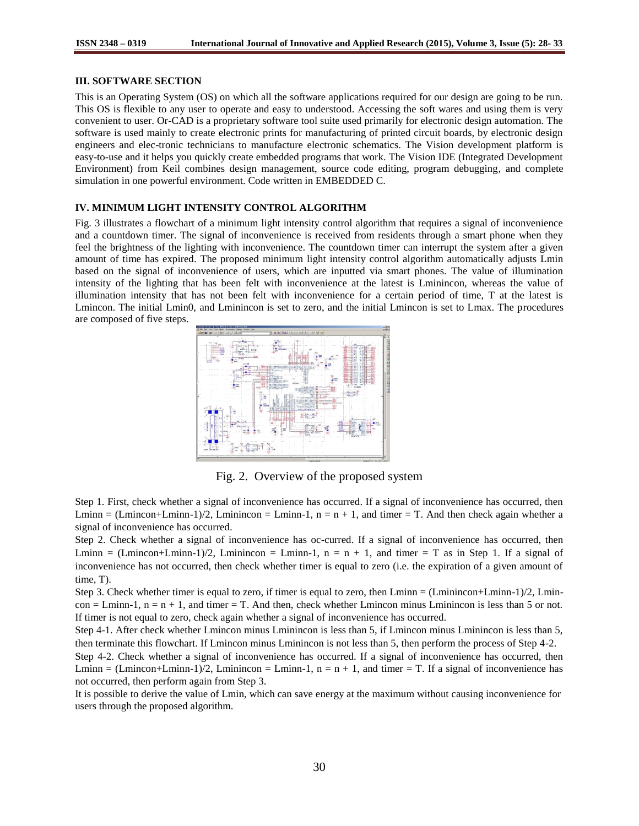# **III. SOFTWARE SECTION**

This is an Operating System (OS) on which all the software applications required for our design are going to be run. This OS is flexible to any user to operate and easy to understood. Accessing the soft wares and using them is very convenient to user. Or-CAD is a proprietary software tool suite used primarily for electronic design automation. The software is used mainly to create electronic prints for manufacturing of printed circuit boards, by electronic design engineers and elec-tronic technicians to manufacture electronic schematics. The Vision development platform is easy-to-use and it helps you quickly create embedded programs that work. The Vision IDE (Integrated Development Environment) from Keil combines design management, source code editing, program debugging, and complete simulation in one powerful environment. Code written in EMBEDDED C.

# **IV. MINIMUM LIGHT INTENSITY CONTROL ALGORITHM**

Fig. 3 illustrates a flowchart of a minimum light intensity control algorithm that requires a signal of inconvenience and a countdown timer. The signal of inconvenience is received from residents through a smart phone when they feel the brightness of the lighting with inconvenience. The countdown timer can interrupt the system after a given amount of time has expired. The proposed minimum light intensity control algorithm automatically adjusts Lmin based on the signal of inconvenience of users, which are inputted via smart phones. The value of illumination intensity of the lighting that has been felt with inconvenience at the latest is Lminincon, whereas the value of illumination intensity that has not been felt with inconvenience for a certain period of time, T at the latest is Lmincon. The initial Lmin0, and Lminincon is set to zero, and the initial Lmincon is set to Lmax. The procedures are composed of five steps.



Fig. 2. Overview of the proposed system

Step 1. First, check whether a signal of inconvenience has occurred. If a signal of inconvenience has occurred, then Lminn = (Lmincon+Lminn-1)/2, Lminincon = Lminn-1,  $n = n + 1$ , and timer = T. And then check again whether a signal of inconvenience has occurred.

Step 2. Check whether a signal of inconvenience has oc-curred. If a signal of inconvenience has occurred, then Lminn = (Lmincon+Lminn-1)/2, Lminincon = Lminn-1,  $n = n + 1$ , and timer = T as in Step 1. If a signal of inconvenience has not occurred, then check whether timer is equal to zero (i.e. the expiration of a given amount of time, T).

Step 3. Check whether timer is equal to zero, if timer is equal to zero, then Lminn = (Lminincon+Lminn-1)/2, Lmin $con = Lmin-1$ ,  $n = n + 1$ , and timer  $= T$ . And then, check whether Lmincon minus Lminincon is less than 5 or not. If timer is not equal to zero, check again whether a signal of inconvenience has occurred.

Step 4-1. After check whether Lmincon minus Lminincon is less than 5, if Lmincon minus Lminincon is less than 5, then terminate this flowchart. If Lmincon minus Lminincon is not less than 5, then perform the process of Step 4-2.

Step 4-2. Check whether a signal of inconvenience has occurred. If a signal of inconvenience has occurred, then Lminn = (Lmincon+Lminn-1)/2, Lminincon = Lminn-1,  $n = n + 1$ , and timer = T. If a signal of inconvenience has not occurred, then perform again from Step 3.

It is possible to derive the value of Lmin, which can save energy at the maximum without causing inconvenience for users through the proposed algorithm.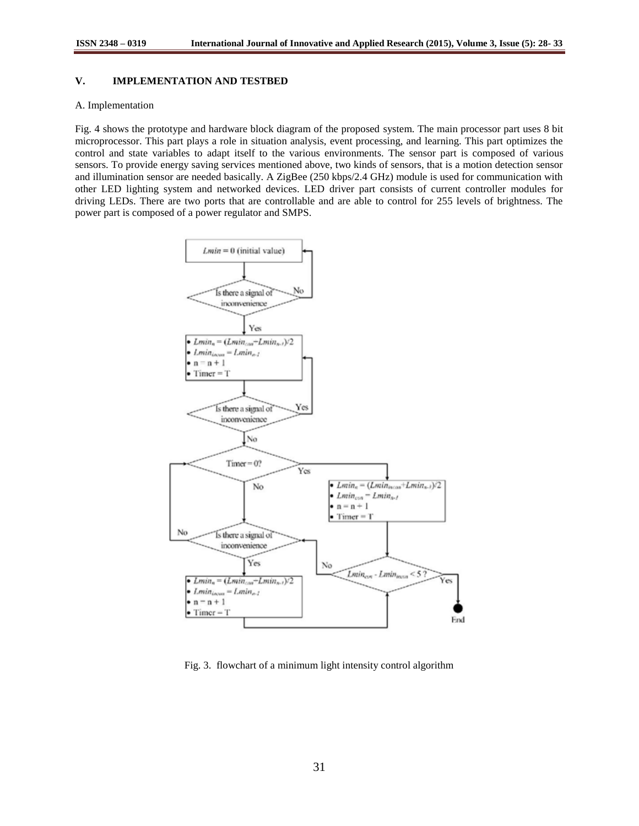# **V. IMPLEMENTATION AND TESTBED**

### A. Implementation

Fig. 4 shows the prototype and hardware block diagram of the proposed system. The main processor part uses 8 bit microprocessor. This part plays a role in situation analysis, event processing, and learning. This part optimizes the control and state variables to adapt itself to the various environments. The sensor part is composed of various sensors. To provide energy saving services mentioned above, two kinds of sensors, that is a motion detection sensor and illumination sensor are needed basically. A ZigBee (250 kbps/2.4 GHz) module is used for communication with other LED lighting system and networked devices. LED driver part consists of current controller modules for driving LEDs. There are two ports that are controllable and are able to control for 255 levels of brightness. The power part is composed of a power regulator and SMPS.



Fig. 3. flowchart of a minimum light intensity control algorithm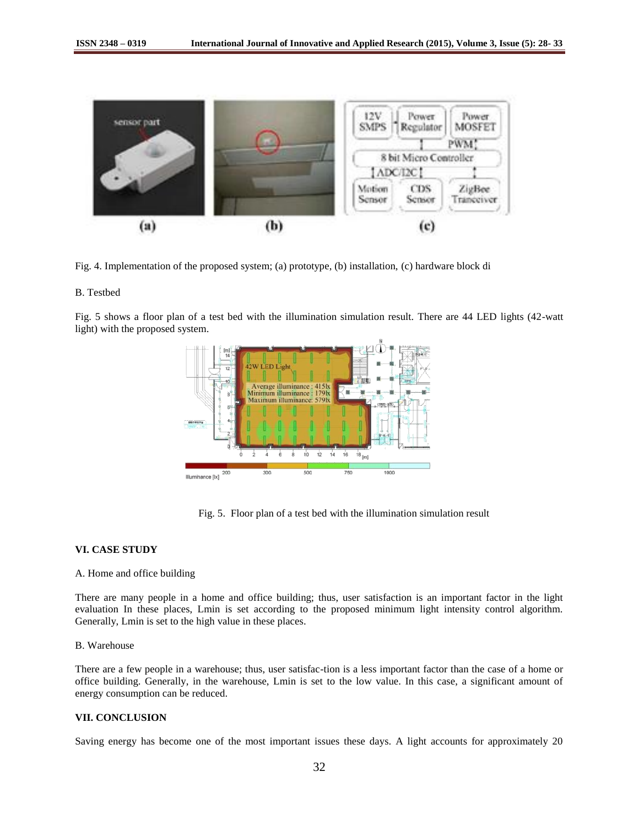

Fig. 4. Implementation of the proposed system; (a) prototype, (b) installation, (c) hardware block di

# B. Testbed

Fig. 5 shows a floor plan of a test bed with the illumination simulation result. There are 44 LED lights (42-watt light) with the proposed system.



Fig. 5. Floor plan of a test bed with the illumination simulation result

# **VI. CASE STUDY**

### A. Home and office building

There are many people in a home and office building; thus, user satisfaction is an important factor in the light evaluation In these places, Lmin is set according to the proposed minimum light intensity control algorithm. Generally, Lmin is set to the high value in these places.

# B. Warehouse

There are a few people in a warehouse; thus, user satisfac-tion is a less important factor than the case of a home or office building. Generally, in the warehouse, Lmin is set to the low value. In this case, a significant amount of energy consumption can be reduced.

### **VII. CONCLUSION**

Saving energy has become one of the most important issues these days. A light accounts for approximately 20